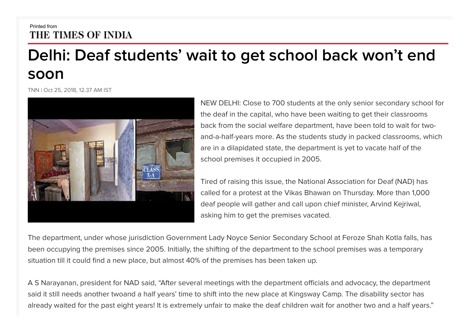## Printed from THE TIMES OF INDIA

## **Delhi: Deaf students' wait to get school back won't end soon**

TNN | Oct 25, 2018, 12.37 AM IST



NEW DELHI: Close to 700 students at the only senior secondary school for the deaf in the capital, who have been waiting to get their classrooms back from the social welfare department, have been told to wait for twoand-a-half-years more. As the students study in packed classrooms, which are in a dilapidated state, the department is yet to vacate half of the school premises it occupied in 2005.

Tired of raising this issue, the National Association for Deaf (NAD) has called for a protest at the Vikas Bhawan on Thursday. More than 1,000 deaf people will gather and call upon chief minister, Arvind Kejriwal, asking him to get the premises vacated.

The department, under whose jurisdiction Government Lady Noyce Senior Secondary School at Feroze Shah Kotla falls, has been occupying the premises since 2005. Initially, the shifting of the department to the school premises was a temporary situation till it could find a new place, but almost 40% of the premises has been taken up.

A S Narayanan, president for NAD said, "After several meetings with the department officials and advocacy, the department said it still needs another twoand a half years' time to shift into the new place at Kingsway Camp. The disability sector has already waited for the past eight years! It is extremely unfair to make the deaf children wait for another two and a half years."